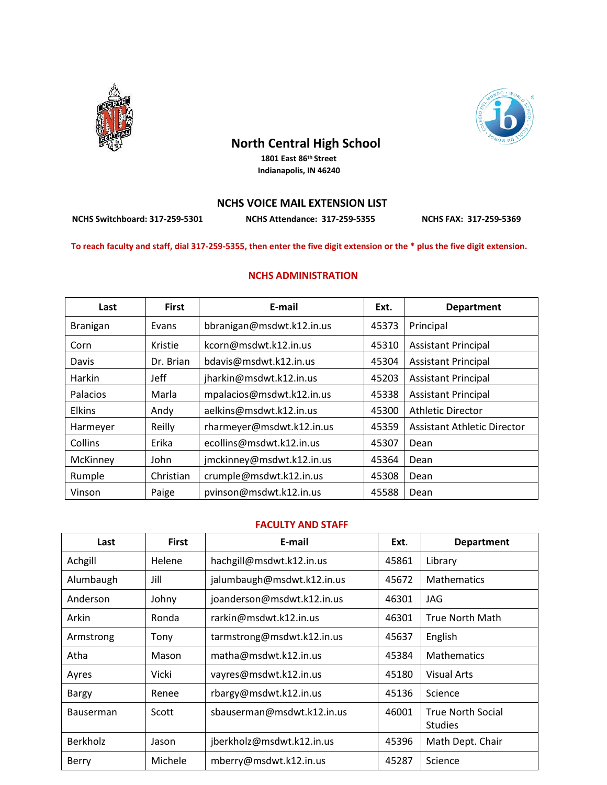

## **North Central High School**

 **1801 East 86th Street Indianapolis, IN 46240**



**NCHS Switchboard: 317-259-5301 NCHS Attendance: 317-259-5355 NCHS FAX: 317-259-5369** 

**To reach faculty and staff, dial 317-259-5355, then enter the five digit extension or the \* plus the five digit extension.**

## **NCHS ADMINISTRATION**

| Last           | <b>First</b> | E-mail                    | Ext.  | <b>Department</b>           |
|----------------|--------------|---------------------------|-------|-----------------------------|
| Branigan       | Evans        | bbranigan@msdwt.k12.in.us | 45373 | Principal                   |
| Corn           | Kristie      | kcorn@msdwt.k12.in.us     | 45310 | <b>Assistant Principal</b>  |
| Davis          | Dr. Brian    | bdavis@msdwt.k12.in.us    | 45304 | <b>Assistant Principal</b>  |
| Harkin         | Jeff         | jharkin@msdwt.k12.in.us   | 45203 | <b>Assistant Principal</b>  |
| Palacios       | Marla        | mpalacios@msdwt.k12.in.us | 45338 | <b>Assistant Principal</b>  |
| <b>Elkins</b>  | Andy         | aelkins@msdwt.k12.in.us   | 45300 | Athletic Director           |
| Harmeyer       | Reilly       | rharmeyer@msdwt.k12.in.us | 45359 | Assistant Athletic Director |
| <b>Collins</b> | Erika        | ecollins@msdwt.k12.in.us  | 45307 | Dean                        |
| McKinney       | John         | jmckinney@msdwt.k12.in.us | 45364 | Dean                        |
| Rumple         | Christian    | crumple@msdwt.k12.in.us   | 45308 | Dean                        |
| Vinson         | Paige        | pvinson@msdwt.k12.in.us   | 45588 | Dean                        |

## **FACULTY AND STAFF**

| Last            | <b>First</b> | E-mail                     | Ext.  | <b>Department</b>                          |
|-----------------|--------------|----------------------------|-------|--------------------------------------------|
| Achgill         | Helene       | hachgill@msdwt.k12.in.us   | 45861 | Library                                    |
| Alumbaugh       | Jill         | jalumbaugh@msdwt.k12.in.us | 45672 | <b>Mathematics</b>                         |
| Anderson        | Johny        | joanderson@msdwt.k12.in.us | 46301 | JAG                                        |
| Arkin           | Ronda        | rarkin@msdwt.k12.in.us     | 46301 | <b>True North Math</b>                     |
| Armstrong       | Tony         | tarmstrong@msdwt.k12.in.us | 45637 | English                                    |
| Atha            | Mason        | matha@msdwt.k12.in.us      | 45384 | <b>Mathematics</b>                         |
| Ayres           | Vicki        | vayres@msdwt.k12.in.us     | 45180 | <b>Visual Arts</b>                         |
| Bargy           | Renee        | rbargy@msdwt.k12.in.us     | 45136 | Science                                    |
| Bauserman       | Scott        | sbauserman@msdwt.k12.in.us | 46001 | <b>True North Social</b><br><b>Studies</b> |
| <b>Berkholz</b> | Jason        | jberkholz@msdwt.k12.in.us  | 45396 | Math Dept. Chair                           |
| Berry           | Michele      | mberry@msdwt.k12.in.us     | 45287 | Science                                    |

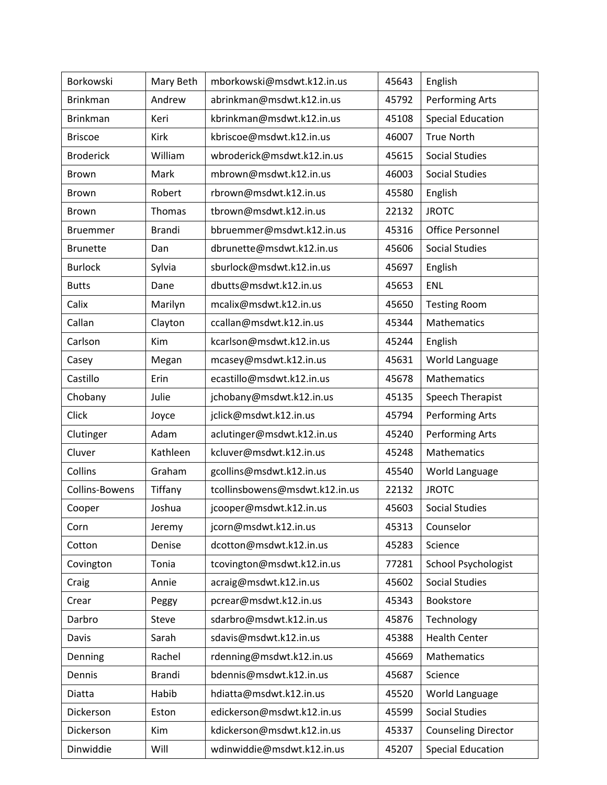| Borkowski        | Mary Beth     | mborkowski@msdwt.k12.in.us     | 45643 | English                    |
|------------------|---------------|--------------------------------|-------|----------------------------|
| <b>Brinkman</b>  | Andrew        | abrinkman@msdwt.k12.in.us      | 45792 | Performing Arts            |
| <b>Brinkman</b>  | Keri          | kbrinkman@msdwt.k12.in.us      | 45108 | <b>Special Education</b>   |
| <b>Briscoe</b>   | Kirk          | kbriscoe@msdwt.k12.in.us       | 46007 | <b>True North</b>          |
| <b>Broderick</b> | William       | wbroderick@msdwt.k12.in.us     | 45615 | <b>Social Studies</b>      |
| Brown            | Mark          | mbrown@msdwt.k12.in.us         | 46003 | <b>Social Studies</b>      |
| <b>Brown</b>     | Robert        | rbrown@msdwt.k12.in.us         | 45580 | English                    |
| Brown            | Thomas        | tbrown@msdwt.k12.in.us         | 22132 | <b>JROTC</b>               |
| <b>Bruemmer</b>  | <b>Brandi</b> | bbruemmer@msdwt.k12.in.us      | 45316 | <b>Office Personnel</b>    |
| <b>Brunette</b>  | Dan           | dbrunette@msdwt.k12.in.us      | 45606 | <b>Social Studies</b>      |
| <b>Burlock</b>   | Sylvia        | sburlock@msdwt.k12.in.us       | 45697 | English                    |
| <b>Butts</b>     | Dane          | dbutts@msdwt.k12.in.us         | 45653 | ENL                        |
| Calix            | Marilyn       | mcalix@msdwt.k12.in.us         | 45650 | <b>Testing Room</b>        |
| Callan           | Clayton       | ccallan@msdwt.k12.in.us        | 45344 | Mathematics                |
| Carlson          | Kim           | kcarlson@msdwt.k12.in.us       | 45244 | English                    |
| Casey            | Megan         | mcasey@msdwt.k12.in.us         | 45631 | World Language             |
| Castillo         | Erin          | ecastillo@msdwt.k12.in.us      | 45678 | Mathematics                |
| Chobany          | Julie         | jchobany@msdwt.k12.in.us       | 45135 | Speech Therapist           |
| Click            | Joyce         | jclick@msdwt.k12.in.us         | 45794 | Performing Arts            |
| Clutinger        | Adam          | aclutinger@msdwt.k12.in.us     | 45240 | Performing Arts            |
| Cluver           | Kathleen      | kcluver@msdwt.k12.in.us        | 45248 | Mathematics                |
| Collins          | Graham        | gcollins@msdwt.k12.in.us       | 45540 | World Language             |
| Collins-Bowens   | Tiffany       | tcollinsbowens@msdwt.k12.in.us | 22132 | <b>JROTC</b>               |
| Cooper           | Joshua        | jcooper@msdwt.k12.in.us        | 45603 | <b>Social Studies</b>      |
| Corn             | Jeremy        | jcorn@msdwt.k12.in.us          | 45313 | Counselor                  |
| Cotton           | Denise        | dcotton@msdwt.k12.in.us        | 45283 | Science                    |
| Covington        | Tonia         | tcovington@msdwt.k12.in.us     | 77281 | <b>School Psychologist</b> |
| Craig            | Annie         | acraig@msdwt.k12.in.us         | 45602 | <b>Social Studies</b>      |
| Crear            | Peggy         | pcrear@msdwt.k12.in.us         | 45343 | Bookstore                  |
| Darbro           | Steve         | sdarbro@msdwt.k12.in.us        | 45876 | Technology                 |
| Davis            | Sarah         | sdavis@msdwt.k12.in.us         | 45388 | <b>Health Center</b>       |
| Denning          | Rachel        | rdenning@msdwt.k12.in.us       | 45669 | Mathematics                |
| Dennis           | <b>Brandi</b> | bdennis@msdwt.k12.in.us        | 45687 | Science                    |
| Diatta           | Habib         | hdiatta@msdwt.k12.in.us        | 45520 | World Language             |
| Dickerson        | Eston         | edickerson@msdwt.k12.in.us     | 45599 | <b>Social Studies</b>      |
| Dickerson        | Kim           | kdickerson@msdwt.k12.in.us     | 45337 | <b>Counseling Director</b> |
| Dinwiddie        | Will          | wdinwiddie@msdwt.k12.in.us     | 45207 | <b>Special Education</b>   |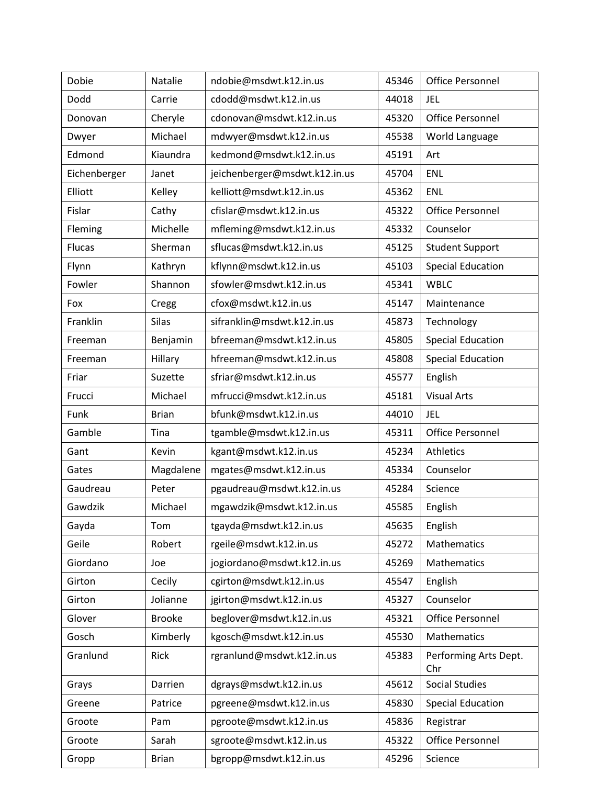| Dobie         | Natalie       | ndobie@msdwt.k12.in.us        | 45346 | <b>Office Personnel</b>      |
|---------------|---------------|-------------------------------|-------|------------------------------|
| Dodd          | Carrie        | cdodd@msdwt.k12.in.us         | 44018 | <b>JEL</b>                   |
| Donovan       | Cheryle       | cdonovan@msdwt.k12.in.us      | 45320 | <b>Office Personnel</b>      |
| Dwyer         | Michael       | mdwyer@msdwt.k12.in.us        | 45538 | World Language               |
| Edmond        | Kiaundra      | kedmond@msdwt.k12.in.us       | 45191 | Art                          |
| Eichenberger  | Janet         | jeichenberger@msdwt.k12.in.us | 45704 | ENL                          |
| Elliott       | Kelley        | kelliott@msdwt.k12.in.us      | 45362 | ENL                          |
| Fislar        | Cathy         | cfislar@msdwt.k12.in.us       | 45322 | <b>Office Personnel</b>      |
| Fleming       | Michelle      | mfleming@msdwt.k12.in.us      | 45332 | Counselor                    |
| <b>Flucas</b> | Sherman       | sflucas@msdwt.k12.in.us       | 45125 | <b>Student Support</b>       |
| Flynn         | Kathryn       | kflynn@msdwt.k12.in.us        | 45103 | <b>Special Education</b>     |
| Fowler        | Shannon       | sfowler@msdwt.k12.in.us       | 45341 | <b>WBLC</b>                  |
| Fox           | Cregg         | cfox@msdwt.k12.in.us          | 45147 | Maintenance                  |
| Franklin      | <b>Silas</b>  | sifranklin@msdwt.k12.in.us    | 45873 | Technology                   |
| Freeman       | Benjamin      | bfreeman@msdwt.k12.in.us      | 45805 | <b>Special Education</b>     |
| Freeman       | Hillary       | hfreeman@msdwt.k12.in.us      | 45808 | <b>Special Education</b>     |
| Friar         | Suzette       | sfriar@msdwt.k12.in.us        | 45577 | English                      |
| Frucci        | Michael       | mfrucci@msdwt.k12.in.us       | 45181 | <b>Visual Arts</b>           |
| Funk          | <b>Brian</b>  | bfunk@msdwt.k12.in.us         | 44010 | <b>JEL</b>                   |
| Gamble        | Tina          | tgamble@msdwt.k12.in.us       | 45311 | <b>Office Personnel</b>      |
| Gant          | Kevin         | kgant@msdwt.k12.in.us         | 45234 | Athletics                    |
| Gates         | Magdalene     | mgates@msdwt.k12.in.us        | 45334 | Counselor                    |
| Gaudreau      | Peter         | pgaudreau@msdwt.k12.in.us     | 45284 | Science                      |
| Gawdzik       | Michael       | mgawdzik@msdwt.k12.in.us      | 45585 | English                      |
| Gayda         | Tom           | tgayda@msdwt.k12.in.us        | 45635 | English                      |
| Geile         | Robert        | rgeile@msdwt.k12.in.us        | 45272 | Mathematics                  |
| Giordano      | Joe           | jogiordano@msdwt.k12.in.us    | 45269 | Mathematics                  |
| Girton        | Cecily        | cgirton@msdwt.k12.in.us       | 45547 | English                      |
| Girton        | Jolianne      | jgirton@msdwt.k12.in.us       | 45327 | Counselor                    |
| Glover        | <b>Brooke</b> | beglover@msdwt.k12.in.us      | 45321 | <b>Office Personnel</b>      |
| Gosch         | Kimberly      | kgosch@msdwt.k12.in.us        | 45530 | Mathematics                  |
| Granlund      | Rick          | rgranlund@msdwt.k12.in.us     | 45383 | Performing Arts Dept.<br>Chr |
| Grays         | Darrien       | dgrays@msdwt.k12.in.us        | 45612 | <b>Social Studies</b>        |
| Greene        | Patrice       | pgreene@msdwt.k12.in.us       | 45830 | <b>Special Education</b>     |
| Groote        | Pam           | pgroote@msdwt.k12.in.us       | 45836 | Registrar                    |
| Groote        | Sarah         | sgroote@msdwt.k12.in.us       | 45322 | Office Personnel             |
| Gropp         | <b>Brian</b>  | bgropp@msdwt.k12.in.us        | 45296 | Science                      |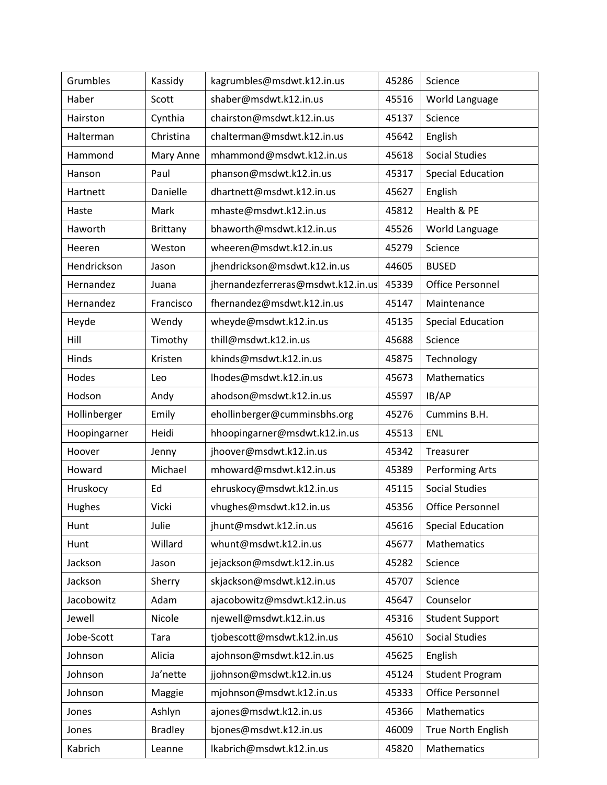| Grumbles     | Kassidy         | kagrumbles@msdwt.k12.in.us         | 45286 | Science                  |
|--------------|-----------------|------------------------------------|-------|--------------------------|
| Haber        | Scott           | shaber@msdwt.k12.in.us             | 45516 | World Language           |
| Hairston     | Cynthia         | chairston@msdwt.k12.in.us          | 45137 | Science                  |
| Halterman    | Christina       | chalterman@msdwt.k12.in.us         | 45642 | English                  |
| Hammond      | Mary Anne       | mhammond@msdwt.k12.in.us           | 45618 | <b>Social Studies</b>    |
| Hanson       | Paul            | phanson@msdwt.k12.in.us            | 45317 | <b>Special Education</b> |
| Hartnett     | Danielle        | dhartnett@msdwt.k12.in.us          | 45627 | English                  |
| Haste        | Mark            | mhaste@msdwt.k12.in.us             | 45812 | Health & PE              |
| Haworth      | <b>Brittany</b> | bhaworth@msdwt.k12.in.us           | 45526 | World Language           |
| Heeren       | Weston          | wheeren@msdwt.k12.in.us            | 45279 | Science                  |
| Hendrickson  | Jason           | jhendrickson@msdwt.k12.in.us       | 44605 | <b>BUSED</b>             |
| Hernandez    | Juana           | jhernandezferreras@msdwt.k12.in.us | 45339 | Office Personnel         |
| Hernandez    | Francisco       | fhernandez@msdwt.k12.in.us         | 45147 | Maintenance              |
| Heyde        | Wendy           | wheyde@msdwt.k12.in.us             | 45135 | <b>Special Education</b> |
| Hill         | Timothy         | thill@msdwt.k12.in.us              | 45688 | Science                  |
| Hinds        | Kristen         | khinds@msdwt.k12.in.us             | 45875 | Technology               |
| Hodes        | Leo             | lhodes@msdwt.k12.in.us             | 45673 | Mathematics              |
| Hodson       | Andy            | ahodson@msdwt.k12.in.us            | 45597 | IB/AP                    |
| Hollinberger | Emily           | ehollinberger@cumminsbhs.org       | 45276 | Cummins B.H.             |
| Hoopingarner | Heidi           | hhoopingarner@msdwt.k12.in.us      | 45513 | <b>ENL</b>               |
| Hoover       | Jenny           | jhoover@msdwt.k12.in.us            | 45342 | Treasurer                |
| Howard       | Michael         | mhoward@msdwt.k12.in.us            | 45389 | Performing Arts          |
| Hruskocy     | Ed              | ehruskocy@msdwt.k12.in.us          | 45115 | <b>Social Studies</b>    |
| Hughes       | Vicki           | vhughes@msdwt.k12.in.us            | 45356 | <b>Office Personnel</b>  |
| Hunt         | Julie           | jhunt@msdwt.k12.in.us              | 45616 | <b>Special Education</b> |
| Hunt         | Willard         | whunt@msdwt.k12.in.us              | 45677 | Mathematics              |
| Jackson      | Jason           | jejackson@msdwt.k12.in.us          | 45282 | Science                  |
| Jackson      | Sherry          | skjackson@msdwt.k12.in.us          | 45707 | Science                  |
| Jacobowitz   | Adam            | ajacobowitz@msdwt.k12.in.us        | 45647 | Counselor                |
| Jewell       | Nicole          | njewell@msdwt.k12.in.us            | 45316 | <b>Student Support</b>   |
| Jobe-Scott   | Tara            | tjobescott@msdwt.k12.in.us         | 45610 | <b>Social Studies</b>    |
| Johnson      | Alicia          | ajohnson@msdwt.k12.in.us           | 45625 | English                  |
| Johnson      | Ja'nette        | jjohnson@msdwt.k12.in.us           | 45124 | <b>Student Program</b>   |
| Johnson      | Maggie          | mjohnson@msdwt.k12.in.us           | 45333 | Office Personnel         |
| Jones        | Ashlyn          | ajones@msdwt.k12.in.us             | 45366 | Mathematics              |
| Jones        | <b>Bradley</b>  | bjones@msdwt.k12.in.us             | 46009 | True North English       |
| Kabrich      | Leanne          | lkabrich@msdwt.k12.in.us           | 45820 | Mathematics              |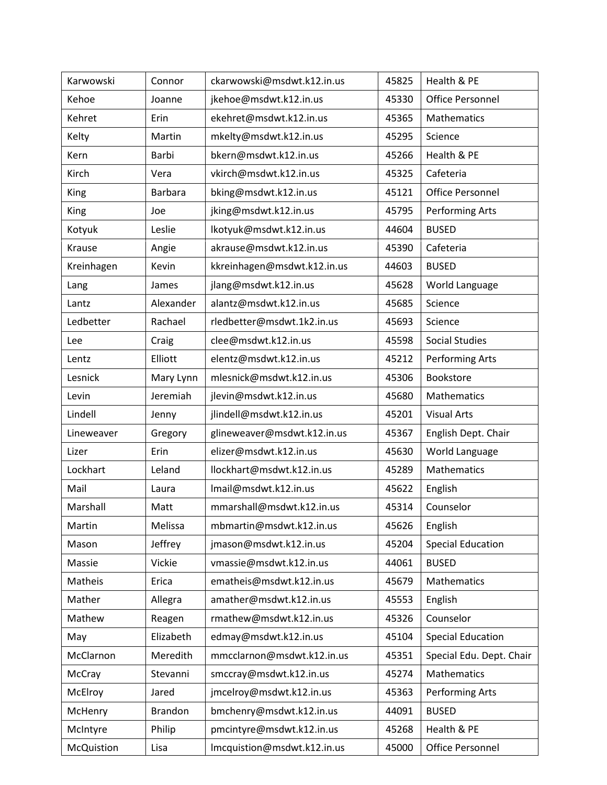| Karwowski   | Connor         | ckarwowski@msdwt.k12.in.us  | 45825 | Health & PE              |
|-------------|----------------|-----------------------------|-------|--------------------------|
| Kehoe       | Joanne         | jkehoe@msdwt.k12.in.us      | 45330 | Office Personnel         |
| Kehret      | Erin           | ekehret@msdwt.k12.in.us     | 45365 | Mathematics              |
| Kelty       | Martin         | mkelty@msdwt.k12.in.us      | 45295 | Science                  |
| Kern        | Barbi          | bkern@msdwt.k12.in.us       | 45266 | Health & PE              |
| Kirch       | Vera           | vkirch@msdwt.k12.in.us      | 45325 | Cafeteria                |
| <b>King</b> | <b>Barbara</b> | bking@msdwt.k12.in.us       | 45121 | Office Personnel         |
| <b>King</b> | Joe            | jking@msdwt.k12.in.us       | 45795 | Performing Arts          |
| Kotyuk      | Leslie         | lkotyuk@msdwt.k12.in.us     | 44604 | <b>BUSED</b>             |
| Krause      | Angie          | akrause@msdwt.k12.in.us     | 45390 | Cafeteria                |
| Kreinhagen  | Kevin          | kkreinhagen@msdwt.k12.in.us | 44603 | <b>BUSED</b>             |
| Lang        | James          | jlang@msdwt.k12.in.us       | 45628 | World Language           |
| Lantz       | Alexander      | alantz@msdwt.k12.in.us      | 45685 | Science                  |
| Ledbetter   | Rachael        | rledbetter@msdwt.1k2.in.us  | 45693 | Science                  |
| Lee         | Craig          | clee@msdwt.k12.in.us        | 45598 | <b>Social Studies</b>    |
| Lentz       | Elliott        | elentz@msdwt.k12.in.us      | 45212 | <b>Performing Arts</b>   |
| Lesnick     | Mary Lynn      | mlesnick@msdwt.k12.in.us    | 45306 | Bookstore                |
| Levin       | Jeremiah       | jlevin@msdwt.k12.in.us      | 45680 | Mathematics              |
| Lindell     | Jenny          | jlindell@msdwt.k12.in.us    | 45201 | <b>Visual Arts</b>       |
| Lineweaver  | Gregory        | glineweaver@msdwt.k12.in.us | 45367 | English Dept. Chair      |
| Lizer       | Erin           | elizer@msdwt.k12.in.us      | 45630 | World Language           |
| Lockhart    | Leland         | llockhart@msdwt.k12.in.us   | 45289 | Mathematics              |
| Mail        | Laura          | Imail@msdwt.k12.in.us       | 45622 | English                  |
| Marshall    | Matt           | mmarshall@msdwt.k12.in.us   | 45314 | Counselor                |
| Martin      | Melissa        | mbmartin@msdwt.k12.in.us    | 45626 | English                  |
| Mason       | Jeffrey        | jmason@msdwt.k12.in.us      | 45204 | <b>Special Education</b> |
| Massie      | Vickie         | vmassie@msdwt.k12.in.us     | 44061 | <b>BUSED</b>             |
| Matheis     | Erica          | ematheis@msdwt.k12.in.us    | 45679 | Mathematics              |
| Mather      | Allegra        | amather@msdwt.k12.in.us     | 45553 | English                  |
| Mathew      | Reagen         | rmathew@msdwt.k12.in.us     | 45326 | Counselor                |
| May         | Elizabeth      | edmay@msdwt.k12.in.us       | 45104 | <b>Special Education</b> |
| McClarnon   | Meredith       | mmcclarnon@msdwt.k12.in.us  | 45351 | Special Edu. Dept. Chair |
| McCray      | Stevanni       | smccray@msdwt.k12.in.us     | 45274 | Mathematics              |
| McElroy     | Jared          | jmcelroy@msdwt.k12.in.us    | 45363 | Performing Arts          |
| McHenry     | Brandon        | bmchenry@msdwt.k12.in.us    | 44091 | <b>BUSED</b>             |
| McIntyre    | Philip         | pmcintyre@msdwt.k12.in.us   | 45268 | Health & PE              |
| McQuistion  | Lisa           | Imcquistion@msdwt.k12.in.us | 45000 | Office Personnel         |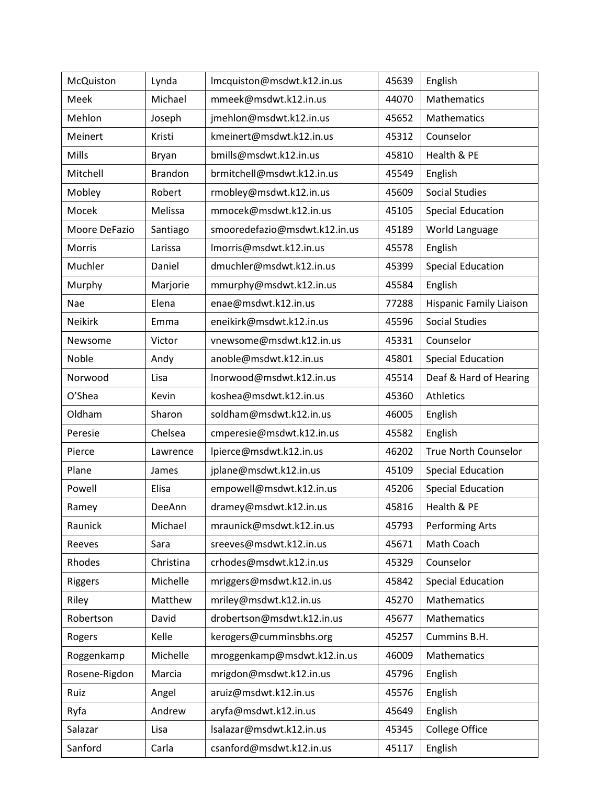| McQuiston      | Lynda          | Imcquiston@msdwt.k12.in.us    | 45639 | English                        |
|----------------|----------------|-------------------------------|-------|--------------------------------|
| Meek           | Michael        | mmeek@msdwt.k12.in.us         | 44070 | <b>Mathematics</b>             |
| Mehlon         | Joseph         | jmehlon@msdwt.k12.in.us       | 45652 | Mathematics                    |
| Meinert        | Kristi         | kmeinert@msdwt.k12.in.us      | 45312 | Counselor                      |
| Mills          | Bryan          | bmills@msdwt.k12.in.us        | 45810 | Health & PE                    |
| Mitchell       | <b>Brandon</b> | brmitchell@msdwt.k12.in.us    | 45549 | English                        |
| Mobley         | Robert         | rmobley@msdwt.k12.in.us       | 45609 | <b>Social Studies</b>          |
| Mocek          | Melissa        | mmocek@msdwt.k12.in.us        | 45105 | <b>Special Education</b>       |
| Moore DeFazio  | Santiago       | smooredefazio@msdwt.k12.in.us | 45189 | World Language                 |
| Morris         | Larissa        | Imorris@msdwt.k12.in.us       | 45578 | English                        |
| Muchler        | Daniel         | dmuchler@msdwt.k12.in.us      | 45399 | <b>Special Education</b>       |
| Murphy         | Marjorie       | mmurphy@msdwt.k12.in.us       | 45584 | English                        |
| Nae            | Elena          | enae@msdwt.k12.in.us          | 77288 | <b>Hispanic Family Liaison</b> |
| <b>Neikirk</b> | Emma           | eneikirk@msdwt.k12.in.us      | 45596 | <b>Social Studies</b>          |
| Newsome        | Victor         | vnewsome@msdwt.k12.in.us      | 45331 | Counselor                      |
| Noble          | Andy           | anoble@msdwt.k12.in.us        | 45801 | <b>Special Education</b>       |
| Norwood        | Lisa           | Inorwood@msdwt.k12.in.us      | 45514 | Deaf & Hard of Hearing         |
| O'Shea         | Kevin          | koshea@msdwt.k12.in.us        | 45360 | Athletics                      |
| Oldham         | Sharon         | soldham@msdwt.k12.in.us       | 46005 | English                        |
| Peresie        | Chelsea        | cmperesie@msdwt.k12.in.us     | 45582 | English                        |
| Pierce         | Lawrence       | lpierce@msdwt.k12.in.us       | 46202 | <b>True North Counselor</b>    |
| Plane          | James          | jplane@msdwt.k12.in.us        | 45109 | <b>Special Education</b>       |
| Powell         | Elisa          | empowell@msdwt.k12.in.us      | 45206 | <b>Special Education</b>       |
| Ramey          | DeeAnn         | dramey@msdwt.k12.in.us        | 45816 | Health & PE                    |
| Raunick        | Michael        | mraunick@msdwt.k12.in.us      | 45793 | Performing Arts                |
| Reeves         | Sara           | sreeves@msdwt.k12.in.us       | 45671 | Math Coach                     |
| Rhodes         | Christina      | crhodes@msdwt.k12.in.us       | 45329 | Counselor                      |
| Riggers        | Michelle       | mriggers@msdwt.k12.in.us      | 45842 | <b>Special Education</b>       |
| Riley          | Matthew        | mriley@msdwt.k12.in.us        | 45270 | Mathematics                    |
| Robertson      | David          | drobertson@msdwt.k12.in.us    | 45677 | Mathematics                    |
| Rogers         | Kelle          | kerogers@cumminsbhs.org       | 45257 | Cummins B.H.                   |
| Roggenkamp     | Michelle       | mroggenkamp@msdwt.k12.in.us   | 46009 | Mathematics                    |
| Rosene-Rigdon  | Marcia         | mrigdon@msdwt.k12.in.us       | 45796 | English                        |
| Ruiz           | Angel          | aruiz@msdwt.k12.in.us         | 45576 | English                        |
| Ryfa           | Andrew         | aryfa@msdwt.k12.in.us         | 45649 | English                        |
| Salazar        | Lisa           | lsalazar@msdwt.k12.in.us      | 45345 | <b>College Office</b>          |
| Sanford        | Carla          | csanford@msdwt.k12.in.us      | 45117 | English                        |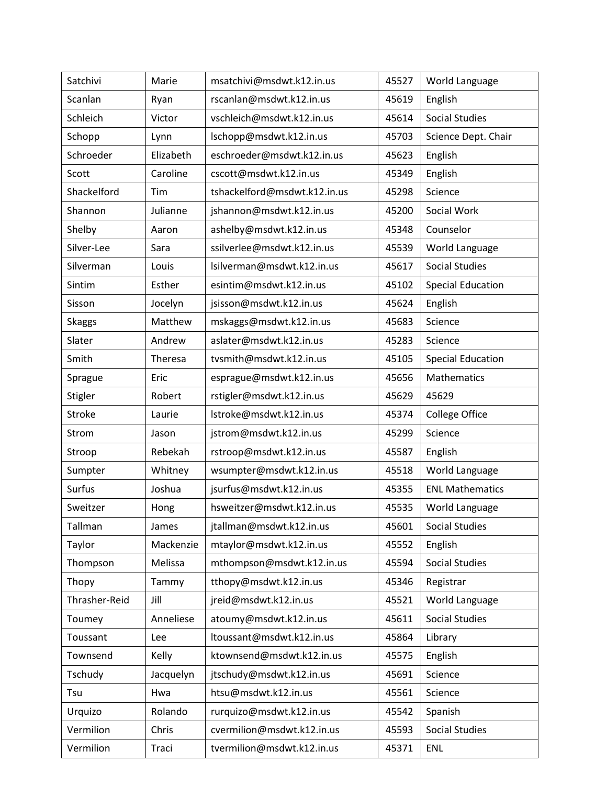| Satchivi      | Marie     | msatchivi@msdwt.k12.in.us    | 45527 | World Language           |
|---------------|-----------|------------------------------|-------|--------------------------|
| Scanlan       | Ryan      | rscanlan@msdwt.k12.in.us     | 45619 | English                  |
| Schleich      | Victor    | vschleich@msdwt.k12.in.us    | 45614 | <b>Social Studies</b>    |
| Schopp        | Lynn      | lschopp@msdwt.k12.in.us      | 45703 | Science Dept. Chair      |
| Schroeder     | Elizabeth | eschroeder@msdwt.k12.in.us   | 45623 | English                  |
| Scott         | Caroline  | cscott@msdwt.k12.in.us       | 45349 | English                  |
| Shackelford   | Tim       | tshackelford@msdwt.k12.in.us | 45298 | Science                  |
| Shannon       | Julianne  | jshannon@msdwt.k12.in.us     | 45200 | Social Work              |
| Shelby        | Aaron     | ashelby@msdwt.k12.in.us      | 45348 | Counselor                |
| Silver-Lee    | Sara      | ssilverlee@msdwt.k12.in.us   | 45539 | World Language           |
| Silverman     | Louis     | lsilverman@msdwt.k12.in.us   | 45617 | <b>Social Studies</b>    |
| Sintim        | Esther    | esintim@msdwt.k12.in.us      | 45102 | <b>Special Education</b> |
| Sisson        | Jocelyn   | jsisson@msdwt.k12.in.us      | 45624 | English                  |
| <b>Skaggs</b> | Matthew   | mskaggs@msdwt.k12.in.us      | 45683 | Science                  |
| Slater        | Andrew    | aslater@msdwt.k12.in.us      | 45283 | Science                  |
| Smith         | Theresa   | tvsmith@msdwt.k12.in.us      | 45105 | <b>Special Education</b> |
| Sprague       | Eric      | esprague@msdwt.k12.in.us     | 45656 | Mathematics              |
| Stigler       | Robert    | rstigler@msdwt.k12.in.us     | 45629 | 45629                    |
| Stroke        | Laurie    | lstroke@msdwt.k12.in.us      | 45374 | <b>College Office</b>    |
| Strom         | Jason     | jstrom@msdwt.k12.in.us       | 45299 | Science                  |
| Stroop        | Rebekah   | rstroop@msdwt.k12.in.us      | 45587 | English                  |
| Sumpter       | Whitney   | wsumpter@msdwt.k12.in.us     | 45518 | World Language           |
| <b>Surfus</b> | Joshua    | jsurfus@msdwt.k12.in.us      | 45355 | <b>ENL Mathematics</b>   |
| Sweitzer      | Hong      | hsweitzer@msdwt.k12.in.us    | 45535 | World Language           |
| Tallman       | James     | jtallman@msdwt.k12.in.us     | 45601 | <b>Social Studies</b>    |
| Taylor        | Mackenzie | mtaylor@msdwt.k12.in.us      | 45552 | English                  |
| Thompson      | Melissa   | mthompson@msdwt.k12.in.us    | 45594 | <b>Social Studies</b>    |
| Thopy         | Tammy     | tthopy@msdwt.k12.in.us       | 45346 | Registrar                |
| Thrasher-Reid | Jill      | jreid@msdwt.k12.in.us        | 45521 | World Language           |
| Toumey        | Anneliese | atoumy@msdwt.k12.in.us       | 45611 | <b>Social Studies</b>    |
| Toussant      | Lee       | ltoussant@msdwt.k12.in.us    | 45864 | Library                  |
| Townsend      | Kelly     | ktownsend@msdwt.k12.in.us    | 45575 | English                  |
| Tschudy       | Jacquelyn | jtschudy@msdwt.k12.in.us     | 45691 | Science                  |
| Tsu           | Hwa       | htsu@msdwt.k12.in.us         | 45561 | Science                  |
| Urquizo       | Rolando   | rurquizo@msdwt.k12.in.us     | 45542 | Spanish                  |
| Vermilion     | Chris     | cvermilion@msdwt.k12.in.us   | 45593 | <b>Social Studies</b>    |
| Vermilion     | Traci     | tvermilion@msdwt.k12.in.us   | 45371 | <b>ENL</b>               |